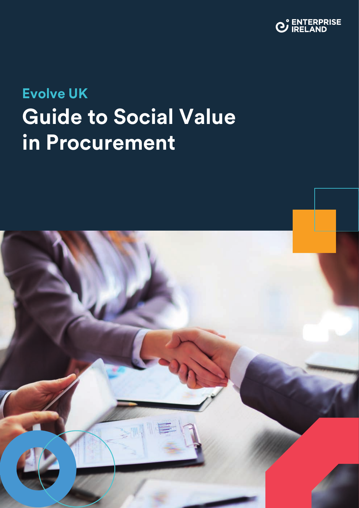

# **Evolve UK Guide to Social Value in Procurement**

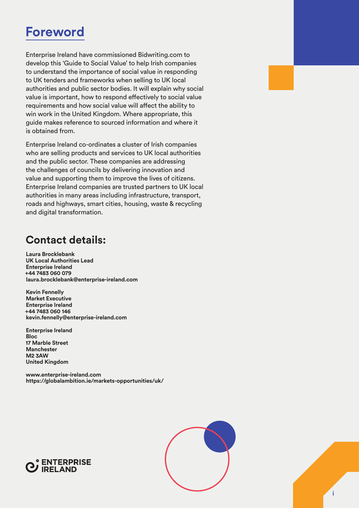## **Foreword**

Enterprise Ireland have commissioned Bidwriting.com to develop this 'Guide to Social Value' to help Irish companies to understand the importance of social value in responding to UK tenders and frameworks when selling to UK local authorities and public sector bodies. It will explain why social value is important, how to respond effectively to social value requirements and how social value will affect the ability to win work in the United Kingdom. Where appropriate, this guide makes reference to sourced information and where it is obtained from.

Enterprise Ireland co-ordinates a cluster of Irish companies who are selling products and services to UK local authorities and the public sector. These companies are addressing the challenges of councils by delivering innovation and value and supporting them to improve the lives of citizens. Enterprise Ireland companies are trusted partners to UK local authorities in many areas including infrastructure, transport, roads and highways, smart cities, housing, waste & recycling and digital transformation.

### **Contact details:**

**Laura Brocklebank UK Local Authorities Lead Enterprise Ireland +44 7483 060 079 [laura.brocklebank@enterprise-ireland.com](mailto:laura.brocklebank@enterprise-ireland.com)** 

**Kevin Fennelly Market Executive Enterprise Ireland +44 7483 060 146 [kevin.fennelly@enterprise-ireland.com](mailto:Kevin.fennelly@enterprise-ireland.com)** 

**Enterprise Ireland Bloc 17 Marble Street Manchester M2 3AW United Kingdom**

**[www.enterprise-ireland.com](http://www.enterprise-ireland.com) <https://globalambition.ie/markets-opportunities/uk/>**

![](_page_1_Picture_8.jpeg)

![](_page_1_Figure_9.jpeg)

![](_page_1_Picture_10.jpeg)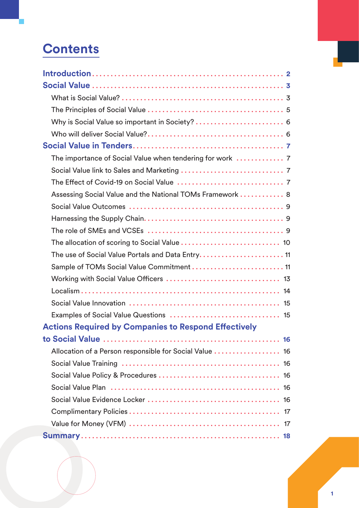## **Contents**

| Assessing Social Value and the National TOMs Framework  8   |
|-------------------------------------------------------------|
|                                                             |
|                                                             |
|                                                             |
|                                                             |
|                                                             |
| Sample of TOMs Social Value Commitment  11                  |
|                                                             |
|                                                             |
|                                                             |
|                                                             |
| <b>Actions Required by Companies to Respond Effectively</b> |
|                                                             |
| Allocation of a Person responsible for Social Value  16     |
|                                                             |
|                                                             |
|                                                             |
|                                                             |
|                                                             |
|                                                             |
|                                                             |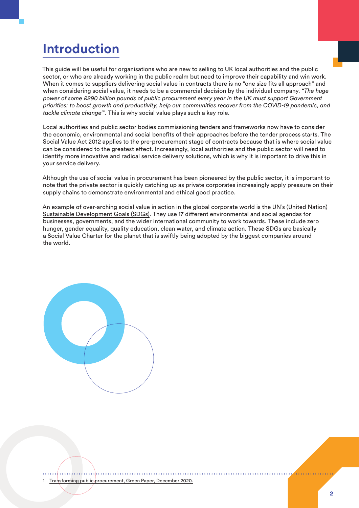## <span id="page-3-0"></span>**Introduction**

This guide will be useful for organisations who are new to selling to UK local authorities and the public sector, or who are already working in the public realm but need to improve their capability and win work. When it comes to suppliers delivering social value in contracts there is no "one size fits all approach" and when considering social value, it needs to be a commercial decision by the individual company. *"The huge power of some £290 billion pounds of public procurement every year in the UK must support Government priorities: to boost growth and productivity, help our communities recover from the COVID-19 pandemic, and tackle climate change1 ".* This is why social value plays such a key role.

Local authorities and public sector bodies commissioning tenders and frameworks now have to consider the economic, environmental and social benefits of their approaches before the tender process starts. The Social Value Act 2012 applies to the pre-procurement stage of contracts because that is where social value can be considered to the greatest effect. Increasingly, local authorities and the public sector will need to identify more innovative and radical service delivery solutions, which is why it is important to drive this in your service delivery.

Although the use of social value in procurement has been pioneered by the public sector, it is important to note that the private sector is quickly catching up as private corporates increasingly apply pressure on their supply chains to demonstrate environmental and ethical good practice.

An example of over-arching social value in action in the global corporate world is the UN's (United Nation) [Sustainable Development Goals \(SDGs\).](https://www.un.org/sustainabledevelopment/sustainable-development-goals/) They use 17 different environmental and social agendas for businesses, governments, and the wider international community to work towards. These include zero hunger, gender equality, quality education, clean water, and climate action. These SDGs are basically a Social Value Charter for the planet that is swiftly being adopted by the biggest companies around the world.

![](_page_3_Picture_5.jpeg)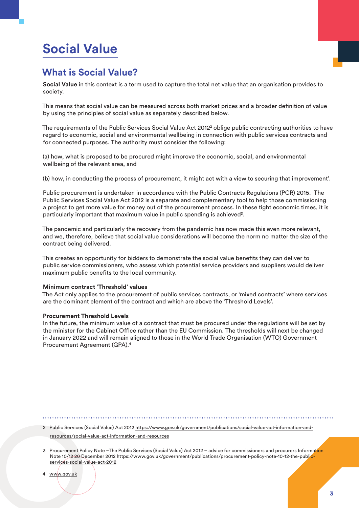## <span id="page-4-0"></span>**Social Value**

### **What is Social Value?**

**Social Value** in this context is a term used to capture the total net value that an organisation provides to society.

This means that social value can be measured across both market prices and a broader definition of value by using the principles of social value as separately described below.

The requirements of the Public Services Social Value Act 2012<sup>2</sup> oblige public contracting authorities to have regard to economic, social and environmental wellbeing in connection with public services contracts and for connected purposes. The authority must consider the following:

(a) how, what is proposed to be procured might improve the economic, social, and environmental wellbeing of the relevant area, and

(b) how, in conducting the process of procurement, it might act with a view to securing that improvement'.

Public procurement is undertaken in accordance with the Public Contracts Regulations (PCR) 2015. The Public Services Social Value Act 2012 is a separate and complementary tool to help those commissioning a project to get more value for money out of the procurement process. In these tight economic times, it is particularly important that maximum value in public spending is achieved<sup>3</sup>.

The pandemic and particularly the recovery from the pandemic has now made this even more relevant, and we, therefore, believe that social value considerations will become the norm no matter the size of the contract being delivered.

This creates an opportunity for bidders to demonstrate the social value benefits they can deliver to public service commissioners, who assess which potential service providers and suppliers would deliver maximum public benefits to the local community.

#### **Minimum contract 'Threshold' values**

The Act only applies to the procurement of public services contracts, or 'mixed contracts' where services are the dominant element of the contract and which are above the 'Threshold Levels'.

#### **Procurement Threshold Levels**

In the future, the minimum value of a contract that must be procured under the regulations will be set by the minister for the Cabinet Office rather than the EU Commission. The thresholds will next be changed in January 2022 and will remain aligned to those in the World Trade Organisation (WTO) Government Procurement Agreement (GPA).4

2 Public Services (Social Value) Act 2012 [https://www.gov.uk/government/publications/social-value-act-information-and](https://www.gov.uk/government/publications/social-value-act-information-and-resources/social-value-act-information-and-resources)[resources/social-value-act-information-and-resources](https://www.gov.uk/government/publications/social-value-act-information-and-resources/social-value-act-information-and-resources)

3 Procurement Policy Note –The Public Services (Social Value) Act 2012 – advice for commissioners and procurers Information Note 10/12 20 December 2012 [https://www.gov.uk/government/publications/procurement-policy-note-10-12-the-public](https://www.gov.uk/government/publications/procurement-policy-note-10-12-the-public-services-social-value-act-2012)[services-social-value-act-2012](https://www.gov.uk/government/publications/procurement-policy-note-10-12-the-public-services-social-value-act-2012)

4 www.gov.uk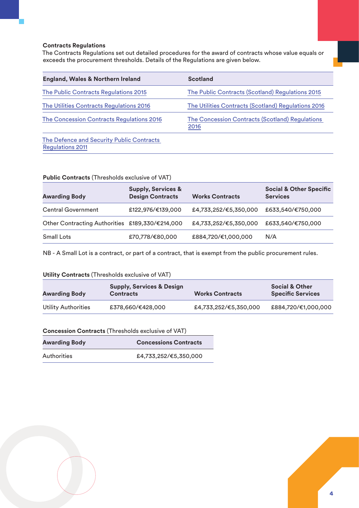#### **Contracts Regulations**

The Contracts Regulations set out detailed procedures for the award of contracts whose value equals or exceeds the procurement thresholds. Details of the Regulations are given below.

| <b>England, Wales &amp; Northern Ireland</b>                         | <b>Scotland</b>                                         |
|----------------------------------------------------------------------|---------------------------------------------------------|
| The Public Contracts Regulations 2015                                | The Public Contracts (Scotland) Regulations 2015        |
| The Utilities Contracts Regulations 2016                             | The Utilities Contracts (Scotland) Regulations 2016     |
| The Concession Contracts Regulations 2016                            | The Concession Contracts (Scotland) Regulations<br>2016 |
| The Defence and Security Public Contracts<br><b>Regulations 2011</b> |                                                         |

#### **Public Contracts** (Thresholds exclusive of VAT)

| <b>Awarding Body</b>                            | <b>Supply, Services &amp;</b><br><b>Design Contracts</b> | <b>Works Contracts</b> | <b>Social &amp; Other Specific</b><br><b>Services</b> |
|-------------------------------------------------|----------------------------------------------------------|------------------------|-------------------------------------------------------|
| <b>Central Government</b>                       | £122,976/€139,000                                        | £4,733,252/€5,350,000  | £633,540/€750,000                                     |
| Other Contracting Authorities £189,330/€214,000 |                                                          | £4,733,252/€5,350,000  | £633,540/€750,000                                     |
| <b>Small Lots</b>                               | £70,778/€80,000                                          | £884,720/€1,000,000    | N/A                                                   |

NB - A Small Lot is a contract, or part of a contract, that is exempt from the public procurement rules.

#### **Utility Contracts** (Thresholds exclusive of VAT)

| <b>Awarding Body</b>       | <b>Supply, Services &amp; Design</b><br><b>Contracts</b> | <b>Works Contracts</b> | <b>Social &amp; Other</b><br><b>Specific Services</b> |
|----------------------------|----------------------------------------------------------|------------------------|-------------------------------------------------------|
| <b>Utility Authorities</b> | £378,660/€428,000                                        | £4,733,252/€5,350,000  | £884,720/€1,000,000                                   |

#### **Concession Contracts** (Thresholds exclusive of VAT)

| <b>Awarding Body</b> | <b>Concessions Contracts</b> |  |  |  |
|----------------------|------------------------------|--|--|--|
| Authorities          | £4,733,252/€5,350,000        |  |  |  |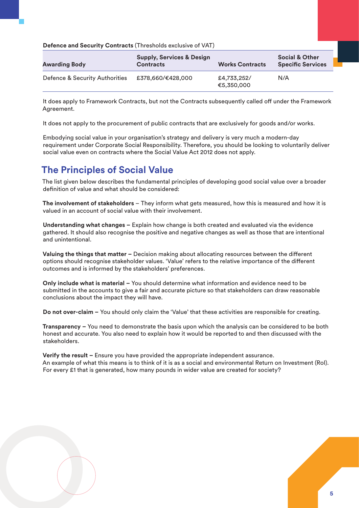<span id="page-6-0"></span>**Defence and Security Contracts** (Thresholds exclusive of VAT)

| <b>Awarding Body</b>           | <b>Supply, Services &amp; Design</b><br><b>Contracts</b> | <b>Works Contracts</b>    | <b>Social &amp; Other</b><br><b>Specific Services</b> |
|--------------------------------|----------------------------------------------------------|---------------------------|-------------------------------------------------------|
| Defence & Security Authorities | £378,660/€428,000                                        | £4,733,252/<br>€5,350,000 | N/A                                                   |

It does apply to Framework Contracts, but not the Contracts subsequently called off under the Framework Agreement.

It does not apply to the procurement of public contracts that are exclusively for goods and/or works.

Embodying social value in your organisation's strategy and delivery is very much a modern-day requirement under Corporate Social Responsibility. Therefore, you should be looking to voluntarily deliver social value even on contracts where the Social Value Act 2012 does not apply.

#### **The Principles of Social Value**

The list given below describes the fundamental principles of developing good social value over a broader definition of value and what should be considered:

**The involvement of stakeholders** – They inform what gets measured, how this is measured and how it is valued in an account of social value with their involvement.

**Understanding what changes –** Explain how change is both created and evaluated via the evidence gathered. It should also recognise the positive and negative changes as well as those that are intentional and unintentional.

**Valuing the things that matter –** Decision making about allocating resources between the different options should recognise stakeholder values. 'Value' refers to the relative importance of the different outcomes and is informed by the stakeholders' preferences.

**Only include what is material –** You should determine what information and evidence need to be submitted in the accounts to give a fair and accurate picture so that stakeholders can draw reasonable conclusions about the impact they will have.

**Do not over-claim –** You should only claim the 'Value' that these activities are responsible for creating.

**Transparency –** You need to demonstrate the basis upon which the analysis can be considered to be both honest and accurate. You also need to explain how it would be reported to and then discussed with the stakeholders.

**Verify the result –** Ensure you have provided the appropriate independent assurance. An example of what this means is to think of it is as a social and environmental Return on Investment (RoI). For every £1 that is generated, how many pounds in wider value are created for society?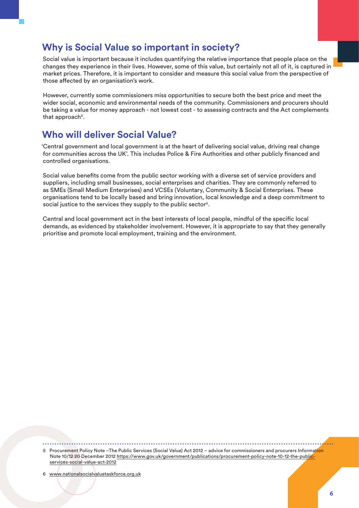### <span id="page-7-0"></span>**Why is Social Value so important in society?**

Social value is important because it includes quantifying the relative importance that people place on the changes they experience in their lives. However, some of this value, but certainly not all of it, is captured in market prices. Therefore, it is important to consider and measure this social value from the perspective of those affected by an organisation's work.

However, currently some commissioners miss opportunities to secure both the best price and meet the wider social, economic and environmental needs of the community. Commissioners and procurers should be taking a value for money approach - not lowest cost - to assessing contracts and the Act complements that approach<sup>5</sup>.

### **Who will deliver Social Value?**

'Central government and local government is at the heart of delivering social value, driving real change for communities across the UK'. This includes Police & Fire Authorities and other publicly financed and controlled organisations.

Social value benefits come from the public sector working with a diverse set of service providers and suppliers, including small businesses, social enterprises and charities. They are commonly referred to as SMEs (Small Medium Enterprises) and VCSEs (Voluntary, Community & Social Enterprises. These organisations tend to be locally based and bring innovation, local knowledge and a deep commitment to social justice to the services they supply to the public sector<sup>6</sup>.

Central and local government act in the best interests of local people, mindful of the specific local demands, as evidenced by stakeholder involvement. However, it is appropriate to say that they generally prioritise and promote local employment, training and the environment.

5 Procurement Policy Note –The Public Services (Social Value) Act 2012 – advice for commissioners and procurers Information Note 10/12 20 December 2012 [https://www.gov.uk/government/publications/procurement-policy-note-10-12-the-public](https://www.gov.uk/government/publications/procurement-policy-note-10-12-the-public-services-social-value-act-2012)[services-social-value-act-2012](https://www.gov.uk/government/publications/procurement-policy-note-10-12-the-public-services-social-value-act-2012)

6 [www.nationalsocialvaluetaskforce.org.uk](http://www.nationalsocialvaluetaskforce.org.uk)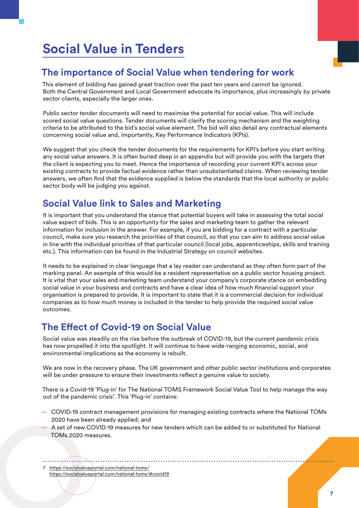## <span id="page-8-0"></span>**Social Value in Tenders**

### **The importance of Social Value when tendering for work**

This element of bidding has gained great traction over the past ten years and cannot be ignored. Both the Central Government and Local Government advocate its importance, plus increasingly by private sector clients, especially the larger ones.

Public sector tender documents will need to maximise the potential for social value. This will include scored social value questions. Tender documents will clarify the scoring mechanism and the weighting criteria to be attributed to the bid's social value element. The bid will also detail any contractual elements concerning social value and, importantly, Key Performance Indicators (KPIs).

We suggest that you check the tender documents for the requirements for KPI's before you start writing any social value answers. It is often buried deep in an appendix but will provide you with the targets that the client is expecting you to meet. Hence the importance of recording your current KPI's across your existing contracts to provide factual evidence rather than unsubstantiated claims. When reviewing tender answers, we often find that the evidence supplied is below the standards that the local authority or public sector body will be judging you against.

### **Social Value link to Sales and Marketing**

It is important that you understand the stance that potential buyers will take in assessing the total social value aspect of bids. This is an opportunity for the sales and marketing team to gather the relevant information for inclusion in the answer. For example, if you are bidding for a contract with a particular council, make sure you research the priorities of that council, so that you can aim to address social value in line with the individual priorities of that particular council (local jobs, apprenticeships, skills and training etc.). This information can be found in the Industrial Strategy on council websites.

It needs to be explained in clear language that a lay reader can understand as they often form part of the marking panel. An example of this would be a resident representative on a public sector housing project. It is vital that your sales and marketing team understand your company's corporate stance on embedding social value in your business and contracts and have a clear idea of how much financial support your organisation is prepared to provide. It is important to state that it is a commercial decision for individual companies as to how much money is included in the tender to help provide the required social value outcomes.

### **The Effect of Covid-19 on Social Value**

Social value was steadily on the rise before the outbreak of COVID-19, but the current pandemic crisis has now propelled it into the spotlight. It will continue to have wide-ranging economic, social, and environmental implications as the economy is rebuilt.

We are now in the recovery phase. The UK government and other public sector institutions and corporates will be under pressure to ensure their investments reflect a genuine value to society.

There is a Covid-19 'Plug-in' for The National TOMS Framework Social Value Tool to help manage the way out of the pandemic crisis<sup>7</sup>. This 'Plug-in' contains:

- COVID-19 contract management provisions for managing existing contracts where the National TOMs 2020 have been already applied; and
- A set of new COVID-19 measures for new tenders which can be added to or substituted for National TOMs 2020 measures.

7 <https://socialvalueportal.com/national-toms/> https://socialvalueportal.com/national-toms/#covid19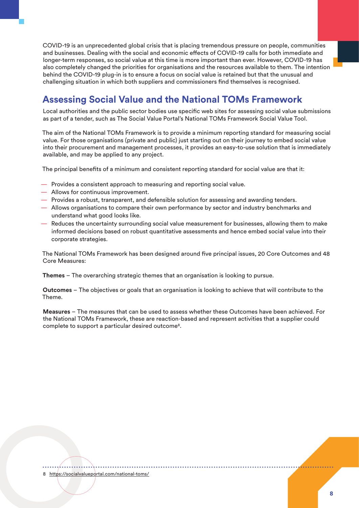<span id="page-9-0"></span>COVID-19 is an unprecedented global crisis that is placing tremendous pressure on people, communities and businesses. Dealing with the social and economic effects of COVID-19 calls for both immediate and longer-term responses, so social value at this time is more important than ever. However, COVID-19 has also completely changed the priorities for organisations and the resources available to them. The intention behind the COVID-19 plug-in is to ensure a focus on social value is retained but that the unusual and challenging situation in which both suppliers and commissioners find themselves is recognised.

### **Assessing Social Value and the National TOMs Framework**

Local authorities and the public sector bodies use specific web sites for assessing social value submissions as part of a tender, such as The Social Value Portal's National TOMs Framework Social Value Tool.

The aim of the National TOMs Framework is to provide a minimum reporting standard for measuring social value. For those organisations (private and public) just starting out on their journey to embed social value into their procurement and management processes, it provides an easy-to-use solution that is immediately available, and may be applied to any project.

The principal benefits of a minimum and consistent reporting standard for social value are that it:

- Provides a consistent approach to measuring and reporting social value.
- Allows for continuous improvement.
- Provides a robust, transparent, and defensible solution for assessing and awarding tenders.
- Allows organisations to compare their own performance by sector and industry benchmarks and understand what good looks like.
- Reduces the uncertainty surrounding social value measurement for businesses, allowing them to make informed decisions based on robust quantitative assessments and hence embed social value into their corporate strategies.

The National TOMs Framework has been designed around five principal issues, 20 Core Outcomes and 48 Core Measures:

**Themes** – The overarching strategic themes that an organisation is looking to pursue.

**Outcomes** – The objectives or goals that an organisation is looking to achieve that will contribute to the Theme.

**Measures** – The measures that can be used to assess whether these Outcomes have been achieved. For the National TOMs Framework, these are reaction-based and represent activities that a supplier could complete to support a particular desired outcome<sup>8</sup>.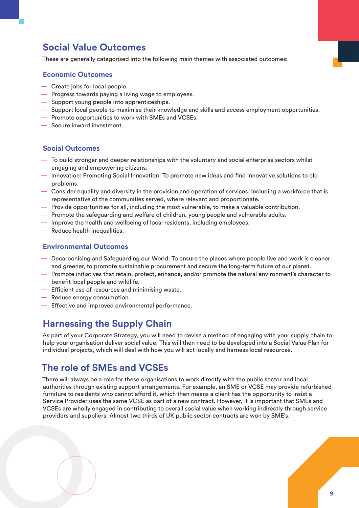### <span id="page-10-0"></span>**Social Value Outcomes**

These are generally categorised into the following main themes with associated outcomes:

#### **Economic Outcomes**

- Create jobs for local people.
- Progress towards paying a living wage to employees.
- Support young people into apprenticeships.
- Support local people to maximise their knowledge and skills and access employment opportunities.
- Promote opportunities to work with SMEs and VCSEs.
- Secure inward investment.

#### **Social Outcomes**

- To build stronger and deeper relationships with the voluntary and social enterprise sectors whilst engaging and empowering citizens.
- Innovation: Promoting Social Innovation: To promote new ideas and find innovative solutions to old problems.
- Consider equality and diversity in the provision and operation of services, including a workforce that is representative of the communities served, where relevant and proportionate.
- Provide opportunities for all, including the most vulnerable, to make a valuable contribution.
- Promote the safeguarding and welfare of children, young people and vulnerable adults.
- Improve the health and wellbeing of local residents, including employees.
- Reduce health inequalities.

#### **Environmental Outcomes**

- Decarbonising and Safeguarding our World: To ensure the places where people live and work is cleaner and greener, to promote sustainable procurement and secure the long-term future of our planet.
- Promote initiatives that retain, protect, enhance, and/or promote the natural environment's character to benefit local people and wildlife.
- Efficient use of resources and minimising waste.
- Reduce energy consumption.
- Effective and improved environmental performance.

#### **Harnessing the Supply Chain**

As part of your Corporate Strategy, you will need to devise a method of engaging with your supply chain to help your organisation deliver social value. This will then need to be developed into a Social Value Plan for individual projects, which will deal with how you will act locally and harness local resources.

#### **The role of SMEs and VCSEs**

There will always be a role for these organisations to work directly with the public sector and local authorities through existing support arrangements. For example, an SME or VCSE may provide refurbished furniture to residents who cannot afford it, which then means a client has the opportunity to insist a Service Provider uses the same VCSE as part of a new contract. However, it is important that SMEs and VCSEs are wholly engaged in contributing to overall social value when working indirectly through service providers and suppliers. Almost two thirds of UK public sector contracts are won by SME's.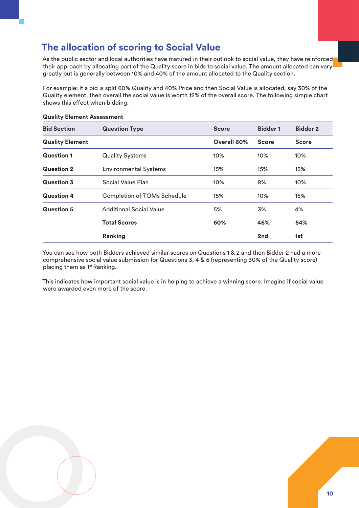### <span id="page-11-0"></span>**The allocation of scoring to Social Value**

As the public sector and local authorities have matured in their outlook to social value, they have reinforced their approach by allocating part of the Quality score in bids to social value. The amount allocated can vary greatly but is generally between 10% and 40% of the amount allocated to the Quality section.

For example: If a bid is split 60% Quality and 40% Price and then Social Value is allocated, say 30% of the Quality element, then overall the social value is worth 12% of the overall score. The following simple chart shows this effect when bidding:

| <b>Bid Section</b>     | <b>Question Type</b>               | <b>Score</b> | <b>Bidder 1</b> | <b>Bidder 2</b> |
|------------------------|------------------------------------|--------------|-----------------|-----------------|
| <b>Quality Element</b> |                                    | Overall 60%  | <b>Score</b>    | <b>Score</b>    |
| <b>Question 1</b>      | <b>Quality Systems</b>             | 10%          | 10%             | 10%             |
| <b>Question 2</b>      | <b>Environmental Systems</b>       | 15%          | 15%             | 15%             |
| <b>Question 3</b>      | Social Value Plan                  | 10%          | 8%              | 10%             |
| <b>Question 4</b>      | <b>Completion of TOMs Schedule</b> | 15%          | 10%             | 15%             |
| <b>Question 5</b>      | <b>Additional Social Value</b>     | 5%           | 3%              | 4%              |
|                        | <b>Total Scores</b>                | 60%          | 46%             | 54%             |
|                        | Ranking                            |              | 2nd             | 1st             |

#### **Quality Element Assessment**

You can see how both Bidders achieved similar scores on Questions 1 & 2 and then Bidder 2 had a more comprehensive social value submission for Questions 3, 4 & 5 (representing 30% of the Quality score) placing them as 1<sup>st</sup> Ranking.

This indicates how important social value is in helping to achieve a winning score. Imagine if social value were awarded even more of the score.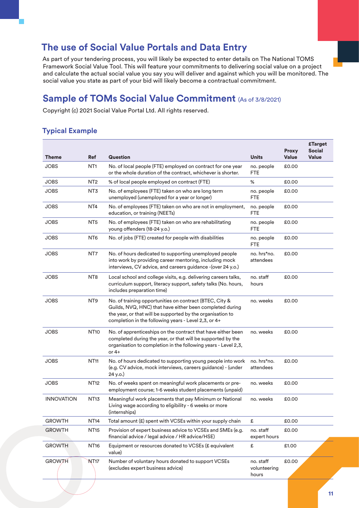### <span id="page-12-0"></span>**The use of Social Value Portals and Data Entry**

As part of your tendering process, you will likely be expected to enter details on The National TOMS Framework Social Value Tool. This will feature your commitments to delivering social value on a project and calculate the actual social value you say you will deliver and against which you will be monitored. The social value you state as part of your bid will likely become a contractual commitment.

### **Sample of TOMs Social Value Commitment** (As of 3/8/2021)

Copyright (c) 2021 Social Value Portal Ltd. All rights reserved.

#### **Typical Example**

| Theme             | <b>Ref</b>       | <b>Question</b>                                                                                                                                                                                                                           | <b>Units</b>                       | <b>Proxy</b><br><b>Value</b> | <b>£Target</b><br><b>Social</b><br><b>Value</b> |
|-------------------|------------------|-------------------------------------------------------------------------------------------------------------------------------------------------------------------------------------------------------------------------------------------|------------------------------------|------------------------------|-------------------------------------------------|
| <b>JOBS</b>       | NT <sub>1</sub>  | No. of local people (FTE) employed on contract for one year<br>or the whole duration of the contract, whichever is shorter.                                                                                                               | no. people<br>FTE                  | £0.00                        |                                                 |
| <b>JOBS</b>       | NT <sub>2</sub>  | % of local people employed on contract (FTE)                                                                                                                                                                                              | %                                  | £0.00                        |                                                 |
| <b>JOBS</b>       | NT3              | No. of employees (FTE) taken on who are long term<br>unemployed (unemployed for a year or longer)                                                                                                                                         | no. people<br><b>FTE</b>           | £0.00                        |                                                 |
| <b>JOBS</b>       | NT <sub>4</sub>  | No. of employees (FTE) taken on who are not in employment,<br>education, or training (NEETs)                                                                                                                                              | no. people<br><b>FTE</b>           | £0.00                        |                                                 |
| <b>JOBS</b>       | NT <sub>5</sub>  | No. of employees (FTE) taken on who are rehabilitating<br>young offenders (18-24 y.o.)                                                                                                                                                    | no. people<br><b>FTE</b>           | £0.00                        |                                                 |
| <b>JOBS</b>       | NT <sub>6</sub>  | No. of jobs (FTE) created for people with disabilities                                                                                                                                                                                    | no. people<br><b>FTE</b>           | £0.00                        |                                                 |
| <b>JOBS</b>       | NT7              | No. of hours dedicated to supporting unemployed people<br>into work by providing career mentoring, including mock<br>interviews, CV advice, and careers guidance - (over 24 y.o.)                                                         | no. hrs*no.<br>attendees           | £0.00                        |                                                 |
| <b>JOBS</b>       | NT <sub>8</sub>  | Local school and college visits, e.g. delivering careers talks,<br>curriculum support, literacy support, safety talks (No. hours,<br>includes preparation time)                                                                           | no. staff<br>hours                 | £0.00                        |                                                 |
| <b>JOBS</b>       | NT <sub>9</sub>  | No. of training opportunities on contract (BTEC, City &<br>Guilds, NVQ, HNC) that have either been completed during<br>the year, or that will be supported by the organisation to<br>completion in the following years - Level 2,3, or 4+ | no. weeks                          | £0.00                        |                                                 |
| <b>JOBS</b>       | <b>NT10</b>      | No. of apprenticeships on the contract that have either been<br>completed during the year, or that will be supported by the<br>organisation to completion in the following years - Level 2,3,<br>or $4+$                                  | no. weeks                          | £0.00                        |                                                 |
| <b>JOBS</b>       | <b>NT11</b>      | No. of hours dedicated to supporting young people into work<br>(e.g. CV advice, mock interviews, careers guidance) - (under<br>24 y.o.)                                                                                                   | no. hrs*no.<br>attendees           | £0.00                        |                                                 |
| <b>JOBS</b>       | <b>NT12</b>      | No. of weeks spent on meaningful work placements or pre-<br>employment course; 1-6 weeks student placements (unpaid)                                                                                                                      | no. weeks                          | £0.00                        |                                                 |
| <b>INNOVATION</b> | <b>NT13</b>      | Meaningful work placements that pay Minimum or National<br>Living wage according to eligibility - 6 weeks or more<br>(internships)                                                                                                        | no. weeks                          | £0.00                        |                                                 |
| <b>GROWTH</b>     | NT14             | Total amount (£) spent with VCSEs within your supply chain                                                                                                                                                                                | £                                  | £0.00                        |                                                 |
| <b>GROWTH</b>     | <b>NT15</b>      | Provision of expert business advice to VCSEs and SMEs (e.g.<br>financial advice / legal advice / HR advice/HSE)                                                                                                                           | no. staff<br>expert hours          | £0.00                        |                                                 |
| <b>GROWTH</b>     | <b>NT16</b>      | Equipment or resources donated to VCSEs (£ equivalent<br>value)                                                                                                                                                                           | £                                  | £1.00                        |                                                 |
| <b>GROWTH</b>     | NT <sub>17</sub> | Number of voluntary hours donated to support VCSEs<br>(excludes expert business advice)                                                                                                                                                   | no. staff<br>volunteering<br>hours | £0.00                        |                                                 |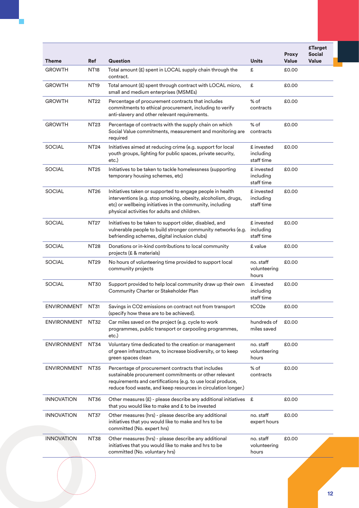| Theme              | <b>Ref</b>       | <b>Question</b>                                                                                                                                                                                                                            | <b>Units</b>                          | <b>Proxy</b><br><b>Value</b> | <b>£Target</b><br><b>Social</b><br><b>Value</b> |
|--------------------|------------------|--------------------------------------------------------------------------------------------------------------------------------------------------------------------------------------------------------------------------------------------|---------------------------------------|------------------------------|-------------------------------------------------|
| <b>GROWTH</b>      | NT18             | Total amount (£) spent in LOCAL supply chain through the<br>contract.                                                                                                                                                                      | £                                     | £0.00                        |                                                 |
| <b>GROWTH</b>      | NT19             | Total amount (£) spent through contract with LOCAL micro,<br>small and medium enterprises (MSMEs)                                                                                                                                          | £                                     | £0.00                        |                                                 |
| <b>GROWTH</b>      | NT22             | Percentage of procurement contracts that includes<br>commitments to ethical procurement, including to verify<br>anti-slavery and other relevant requirements.                                                                              | $%$ of<br>contracts                   | £0.00                        |                                                 |
| <b>GROWTH</b>      | NT <sub>23</sub> | Percentage of contracts with the supply chain on which<br>Social Value commitments, measurement and monitoring are<br>required                                                                                                             | % of<br>contracts                     | £0.00                        |                                                 |
| <b>SOCIAL</b>      | NT24             | Initiatives aimed at reducing crime (e.g. support for local<br>youth groups, lighting for public spaces, private security,<br>etc.)                                                                                                        | £ invested<br>including<br>staff time | £0.00                        |                                                 |
| <b>SOCIAL</b>      | <b>NT25</b>      | Initiatives to be taken to tackle homelessness (supporting<br>temporary housing schemes, etc)                                                                                                                                              | £ invested<br>including<br>staff time | £0.00                        |                                                 |
| <b>SOCIAL</b>      | NT26             | Initiatives taken or supported to engage people in health<br>interventions (e.g. stop smoking, obesity, alcoholism, drugs,<br>etc) or wellbeing initiatives in the community, including<br>physical activities for adults and children.    | £ invested<br>including<br>staff time | £0.00                        |                                                 |
| <b>SOCIAL</b>      | NT27             | Initiatives to be taken to support older, disabled, and<br>vulnerable people to build stronger community networks (e.g.<br>befriending schemes, digital inclusion clubs)                                                                   | £ invested<br>including<br>staff time | £0.00                        |                                                 |
| <b>SOCIAL</b>      | NT28             | Donations or in-kind contributions to local community<br>projects (£ & materials)                                                                                                                                                          | £ value                               | £0.00                        |                                                 |
| <b>SOCIAL</b>      | NT29             | No hours of volunteering time provided to support local<br>community projects                                                                                                                                                              | no. staff<br>volunteering<br>hours    | £0.00                        |                                                 |
| <b>SOCIAL</b>      | NT30             | Support provided to help local community draw up their own<br>Community Charter or Stakeholder Plan                                                                                                                                        | £ invested<br>including<br>staff time | £0.00                        |                                                 |
| <b>ENVIRONMENT</b> | <b>NT31</b>      | Savings in CO2 emissions on contract not from transport<br>(specify how these are to be achieved).                                                                                                                                         | tCO <sub>2e</sub>                     | £0.00                        |                                                 |
| <b>ENVIRONMENT</b> | NT32             | Car miles saved on the project (e.g. cycle to work<br>programmes, public transport or carpooling programmes,<br>etc.)                                                                                                                      | hundreds of<br>miles saved            | £0.00                        |                                                 |
| <b>ENVIRONMENT</b> | <b>NT34</b>      | Voluntary time dedicated to the creation or management<br>of green infrastructure, to increase biodiversity, or to keep<br>green spaces clean                                                                                              | no. staff<br>volunteering<br>hours    | £0.00                        |                                                 |
| <b>ENVIRONMENT</b> | <b>NT35</b>      | Percentage of procurement contracts that includes<br>sustainable procurement commitments or other relevant<br>requirements and certifications (e.g. to use local produce,<br>reduce food waste, and keep resources in circulation longer.) | % of<br>contracts                     | £0.00                        |                                                 |
| <b>INNOVATION</b>  | <b>NT36</b>      | Other measures $(E)$ - please describe any additional initiatives $E$<br>that you would like to make and £ to be invested                                                                                                                  |                                       | £0.00                        |                                                 |
| <b>INNOVATION</b>  | <b>NT37</b>      | Other measures (hrs) - please describe any additional<br>initiatives that you would like to make and hrs to be<br>committed (No. expert hrs)                                                                                               | no. staff<br>expert hours             | £0.00                        |                                                 |
| <b>INNOVATION</b>  | NT38             | Other measures (hrs) - please describe any additional<br>initiatives that you would like to make and hrs to be<br>committed (No. voluntary hrs)                                                                                            | no. staff<br>volunteering<br>hours    | £0.00                        |                                                 |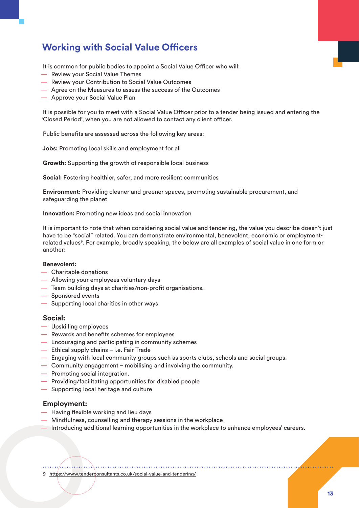### <span id="page-14-0"></span>**Working with Social Value Officers**

It is common for public bodies to appoint a Social Value Officer who will:

- Review your Social Value Themes
- Review your Contribution to Social Value Outcomes
- Agree on the Measures to assess the success of the Outcomes
- Approve your Social Value Plan

It is possible for you to meet with a Social Value Officer prior to a tender being issued and entering the 'Closed Period', when you are not allowed to contact any client officer.

Public benefits are assessed across the following key areas:

**Jobs:** Promoting local skills and employment for all

**Growth:** Supporting the growth of responsible local business

**Social:** Fostering healthier, safer, and more resilient communities

**Environment:** Providing cleaner and greener spaces, promoting sustainable procurement, and safeguarding the planet

**Innovation:** Promoting new ideas and social innovation

It is important to note that when considering social value and tendering, the value you describe doesn't just have to be "social" related. You can demonstrate environmental, benevolent, economic or employmentrelated values<sup>9</sup>. For example, broadly speaking, the below are all examples of social value in one form or another:

#### **Benevolent:**

- Charitable donations
- Allowing your employees voluntary days
- Team building days at charities/non-profit organisations.
- Sponsored events
- Supporting local charities in other ways

#### **Social:**

- Upskilling employees
- Rewards and benefits schemes for employees
- Encouraging and participating in community schemes
- Ethical supply chains i.e. Fair Trade
- Engaging with local community groups such as sports clubs, schools and social groups.
- Community engagement mobilising and involving the community.
- Promoting social integration.
- Providing/facilitating opportunities for disabled people
- Supporting local heritage and culture

#### **Employment:**

- Having flexible working and lieu days
- Mindfulness, counselling and therapy sessions in the workplace
- Introducing additional learning opportunities in the workplace to enhance employees' careers.

9 <https://www.tenderconsultants.co.uk/social-value-and-tendering/>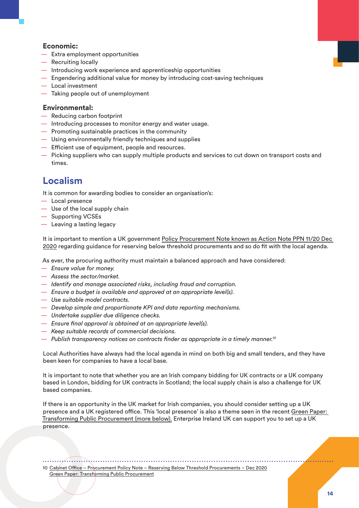#### <span id="page-15-0"></span>**Economic:**

- Extra employment opportunities
- Recruiting locally
- Introducing work experience and apprenticeship opportunities
- Engendering additional value for money by introducing cost-saving techniques
- Local investment
- Taking people out of unemployment

#### **Environmental:**

- Reducing carbon footprint
- Introducing processes to monitor energy and water usage.
- Promoting sustainable practices in the community
- Using environmentally friendly techniques and supplies
- Efficient use of equipment, people and resources.
- Picking suppliers who can supply multiple products and services to cut down on transport costs and times.

#### **Localism**

It is common for awarding bodies to consider an organisation's:

- Local presence
- Use of the local supply chain
- Supporting VCSEs
- Leaving a lasting legacy

It is important to mention a UK government [Policy Procurement Note known as Action Note PPN 11/20 Dec](https://www.gov.uk/government/publications/procurement-policy-note-1120-reserving-below-threshold-procurements)  [2020](https://www.gov.uk/government/publications/procurement-policy-note-1120-reserving-below-threshold-procurements) regarding guidance for reserving below threshold procurements and so do fit with the local agenda.

As ever, the procuring authority must maintain a balanced approach and have considered:

- *Ensure value for money.*
- *Assess the sector/market.*
- *Identify and manage associated risks, including fraud and corruption.*
- *Ensure a budget is available and approved at an appropriate level(s).*
- *Use suitable model contracts.*
- *Develop simple and proportionate KPI and data reporting mechanisms.*
- *Undertake supplier due diligence checks.*
- *Ensure final approval is obtained at an appropriate level(s).*
- *Keep suitable records of commercial decisions.*
- *Publish transparency notices on contracts finder as appropriate in a timely manner.10*

Local Authorities have always had the local agenda in mind on both big and small tenders, and they have been keen for companies to have a local base.

It is important to note that whether you are an Irish company bidding for UK contracts or a UK company based in London, bidding for UK contracts in Scotland; the local supply chain is also a challenge for UK based companies.

If there is an opportunity in the UK market for Irish companies, you should consider setting up a UK presence and a UK registered office. This 'local presence' is also a theme seen in the recent [Green Paper:](https://www.gov.uk/government/consultations/green-paper-transforming-public-procurement)  [Transforming Public Procurement \(more below\).](https://www.gov.uk/government/consultations/green-paper-transforming-public-procurement) Enterprise Ireland UK can support you to set up a UK presence.

10 [Cabinet Office – Procurement Policy Note – Reserving Below Threshold Procurements – Dec 2020](https://www.gov.uk/government/publications/procurement-policy-note-1120-reserving-below-threshold-procurements) [Green Paper: Transforming Public Procurement](https://www.gov.uk/government/consultations/green-paper-transforming-public-procurement)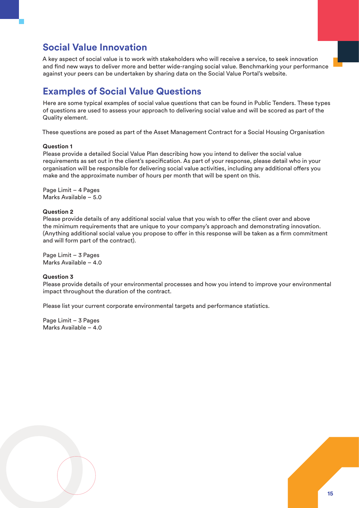#### <span id="page-16-0"></span>**Social Value Innovation**

A key aspect of social value is to work with stakeholders who will receive a service, to seek innovation and find new ways to deliver more and better wide-ranging social value. Benchmarking your performance against your peers can be undertaken by sharing data on the Social Value Portal's website.

### **Examples of Social Value Questions**

Here are some typical examples of social value questions that can be found in Public Tenders. These types of questions are used to assess your approach to delivering social value and will be scored as part of the Quality element.

These questions are posed as part of the Asset Management Contract for a Social Housing Organisation

#### **Question 1**

Please provide a detailed Social Value Plan describing how you intend to deliver the social value requirements as set out in the client's specification. As part of your response, please detail who in your organisation will be responsible for delivering social value activities, including any additional offers you make and the approximate number of hours per month that will be spent on this.

Page Limit – 4 Pages Marks Available – 5.0

#### **Question 2**

Please provide details of any additional social value that you wish to offer the client over and above the minimum requirements that are unique to your company's approach and demonstrating innovation. (Anything additional social value you propose to offer in this response will be taken as a firm commitment and will form part of the contract).

Page Limit – 3 Pages Marks Available – 4.0

#### **Question 3**

Please provide details of your environmental processes and how you intend to improve your environmental impact throughout the duration of the contract.

Please list your current corporate environmental targets and performance statistics.

Page Limit – 3 Pages Marks Available – 4.0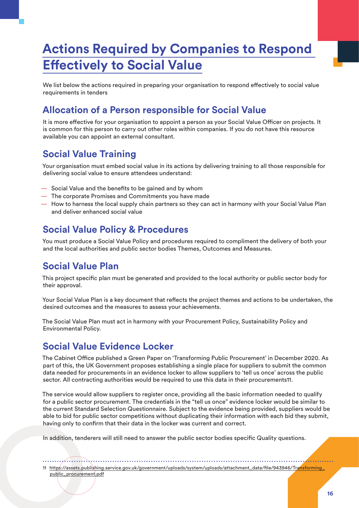## <span id="page-17-0"></span>**Actions Required by Companies to Respond Effectively to Social Value**

We list below the actions required in preparing your organisation to respond effectively to social value requirements in tenders

### **Allocation of a Person responsible for Social Value**

It is more effective for your organisation to appoint a person as your Social Value Officer on projects. It is common for this person to carry out other roles within companies. If you do not have this resource available you can appoint an external consultant.

### **Social Value Training**

Your organisation must embed social value in its actions by delivering training to all those responsible for delivering social value to ensure attendees understand:

- Social Value and the benefits to be gained and by whom
- The corporate Promises and Commitments you have made
- How to harness the local supply chain partners so they can act in harmony with your Social Value Plan and deliver enhanced social value

### **Social Value Policy & Procedures**

You must produce a Social Value Policy and procedures required to compliment the delivery of both your and the local authorities and public sector bodies Themes, Outcomes and Measures.

#### **Social Value Plan**

This project specific plan must be generated and provided to the local authority or public sector body for their approval.

Your Social Value Plan is a key document that reflects the project themes and actions to be undertaken, the desired outcomes and the measures to assess your achievements.

The Social Value Plan must act in harmony with your Procurement Policy, Sustainability Policy and Environmental Policy.

#### **Social Value Evidence Locker**

The Cabinet Office published a Green Paper on 'Transforming Public Procurement' in December 2020. As part of this, the UK Government proposes establishing a single place for suppliers to submit the common data needed for procurements in an evidence locker to allow suppliers to 'tell us once' across the public sector. All contracting authorities would be required to use this data in their procurements11.

The service would allow suppliers to register once, providing all the basic information needed to qualify for a public sector procurement. The credentials in the "tell us once" evidence locker would be similar to the current Standard Selection Questionnaire. Subject to the evidence being provided, suppliers would be able to bid for public sector competitions without duplicating their information with each bid they submit, having only to confirm that their data in the locker was current and correct.

In addition, tenderers will still need to answer the public sector bodies specific Quality questions.

11 https://assets.publishing.service.gov.uk/government/uploads/system/uploads/attachment\_data/file/943946/Transforming\_ public\_procurement.pdf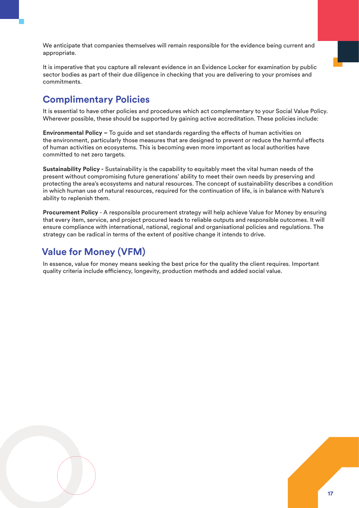<span id="page-18-0"></span>We anticipate that companies themselves will remain responsible for the evidence being current and appropriate.

It is imperative that you capture all relevant evidence in an Evidence Locker for examination by public sector bodies as part of their due diligence in checking that you are delivering to your promises and commitments.

### **Complimentary Policies**

It is essential to have other policies and procedures which act complementary to your Social Value Policy. Wherever possible, these should be supported by gaining active accreditation. These policies include:

**Environmental Policy** *–* To guide and set standards regarding the effects of human activities on the environment, particularly those measures that are designed to prevent or reduce the harmful effects of human activities on ecosystems. This is becoming even more important as local authorities have committed to net zero targets.

**Sustainability Policy** *-* Sustainability is the capability to equitably meet the vital human needs of the present without compromising future generations' ability to meet their own needs by preserving and protecting the area's ecosystems and natural resources. The concept of sustainability describes a condition in which human use of natural resources, required for the continuation of life, is in balance with Nature's ability to replenish them.

**Procurement Policy** - A responsible procurement strategy will help achieve Value for Money by ensuring that every item, service, and project procured leads to reliable outputs and responsible outcomes. It will ensure compliance with international, national, regional and organisational policies and regulations. The strategy can be radical in terms of the extent of positive change it intends to drive.

### **Value for Money (VFM)**

In essence, value for money means seeking the best price for the quality the client requires. Important quality criteria include efficiency, longevity, production methods and added social value.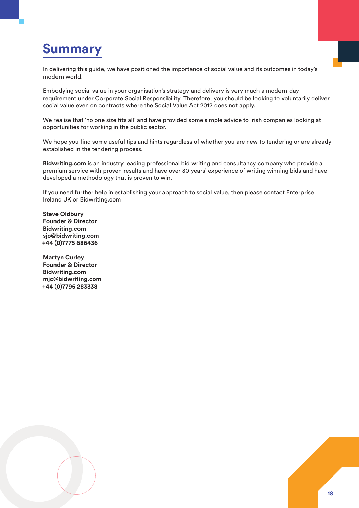## <span id="page-19-0"></span>**Summary**

In delivering this guide, we have positioned the importance of social value and its outcomes in today's modern world.

Embodying social value in your organisation's strategy and delivery is very much a modern-day requirement under Corporate Social Responsibility. Therefore, you should be looking to voluntarily deliver social value even on contracts where the Social Value Act 2012 does not apply.

We realise that 'no one size fits all' and have provided some simple advice to Irish companies looking at opportunities for working in the public sector.

We hope you find some useful tips and hints regardless of whether you are new to tendering or are already established in the tendering process.

**Bidwriting.com** is an industry leading professional bid writing and consultancy company who provide a premium service with proven results and have over 30 years' experience of writing winning bids and have developed a methodology that is proven to win.

If you need further help in establishing your approach to social value, then please contact Enterprise Ireland UK or Bidwriting.com

**Steve Oldbury Founder & Director Bidwriting.com [sjo@bidwriting.com](mailto:sjo@bidwriting.com) +44 (0)7775 686436**

**Martyn Curley Founder & Director Bidwriting.com [mjc@bidwriting.com](mailto:mjc@bidwriting.com) +44 (0)7795 283338**